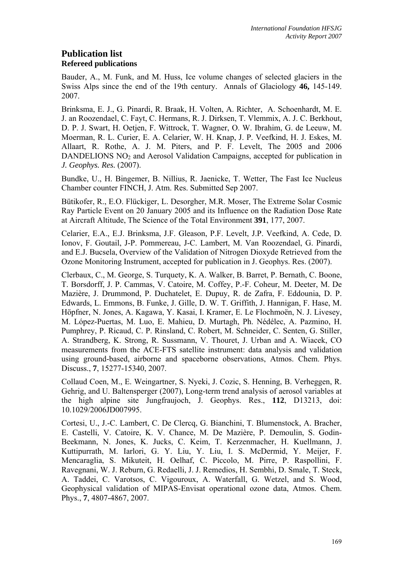# **Publication list Refereed publications**

Bauder, A., M. Funk, and M. Huss, Ice volume changes of selected glaciers in the Swiss Alps since the end of the 19th century. Annals of Glaciology **46,** 145-149. 2007.

Brinksma, E. J., G. Pinardi, R. Braak, H. Volten, A. Richter, A. Schoenhardt, M. E. J. an Roozendael, C. Fayt, C. Hermans, R. J. Dirksen, T. Vlemmix, A. J. C. Berkhout, D. P. J. Swart, H. Oetjen, F. Wittrock, T. Wagner, O. W. Ibrahim, G. de Leeuw, M. Moerman, R. L. Curier, E. A. Celarier, W. H. Knap, J. P. Veefkind, H. J. Eskes, M. Allaart, R. Rothe, A. J. M. Piters, and P. F. Levelt, The 2005 and 2006 DANDELIONS NO<sub>2</sub> and Aerosol Validation Campaigns, accepted for publication in *J. Geophys. Res.* (2007).

Bundke, U., H. Bingemer, B. Nillius, R. Jaenicke, T. Wetter, The Fast Ice Nucleus Chamber counter FINCH, J. Atm. Res. Submitted Sep 2007.

Bütikofer, R., E.O. Flückiger, L. Desorgher, M.R. Moser, The Extreme Solar Cosmic Ray Particle Event on 20 January 2005 and its Influence on the Radiation Dose Rate at Aircraft Altitude, The Science of the Total Environment **391**, 177, 2007.

Celarier, E.A., E.J. Brinksma, J.F. Gleason, P.F. Levelt, J.P. Veefkind, A. Cede, D. Ionov, F. Goutail, J-P. Pommereau, J-C. Lambert, M. Van Roozendael, G. Pinardi, and E.J. Bucsela, Overview of the Validation of Nitrogen Dioxyde Retrieved from the Ozone Monitoring Instrument, accepted for publication in J. Geophys. Res. (2007).

Clerbaux, C., M. George, S. Turquety, K. A. Walker, B. Barret, P. Bernath, C. Boone, T. Borsdorff, J. P. Cammas, V. Catoire, M. Coffey, P.-F. Coheur, M. Deeter, M. De Mazière, J. Drummond, P. Duchatelet, E. Dupuy, R. de Zafra, F. Eddounia, D. P. Edwards, L. Emmons, B. Funke, J. Gille, D. W. T. Griffith, J. Hannigan, F. Hase, M. Höpfner, N. Jones, A. Kagawa, Y. Kasai, I. Kramer, E. Le Flochmoën, N. J. Livesey, M. López-Puertas, M. Luo, E. Mahieu, D. Murtagh, Ph. Nédélec, A. Pazmino, H. Pumphrey, P. Ricaud, C. P. Rinsland, C. Robert, M. Schneider, C. Senten, G. Stiller, A. Strandberg, K. Strong, R. Sussmann, V. Thouret, J. Urban and A. Wiacek, CO measurements from the ACE-FTS satellite instrument: data analysis and validation using ground-based, airborne and spaceborne observations, Atmos. Chem. Phys. Discuss., **7**, 15277-15340, 2007.

Collaud Coen, M., E. Weingartner, S. Nyeki, J. Cozic, S. Henning, B. Verheggen, R. Gehrig, and U. Baltensperger (2007), Long-term trend analysis of aerosol variables at the high alpine site Jungfraujoch, J. Geophys. Res., **112**, D13213, doi: 10.1029/2006JD007995.

Cortesi, U., J.-C. Lambert, C. De Clercq, G. Bianchini, T. Blumenstock, A. Bracher, E. Castelli, V. Catoire, K. V. Chance, M. De Mazière, P. Demoulin, S. Godin-Beekmann, N. Jones, K. Jucks, C. Keim, T. Kerzenmacher, H. Kuellmann, J. Kuttipurrath, M. Iarlori, G. Y. Liu, Y. Liu, I. S. McDermid, Y. Meijer, F. Mencaraglia, S. Mikuteit, H. Oelhaf, C. Piccolo, M. Pirre, P. Raspollini, F. Ravegnani, W. J. Reburn, G. Redaelli, J. J. Remedios, H. Sembhi, D. Smale, T. Steck, A. Taddei, C. Varotsos, C. Vigouroux, A. Waterfall, G. Wetzel, and S. Wood, Geophysical validation of MIPAS-Envisat operational ozone data, Atmos. Chem. Phys., **7**, 4807-4867, 2007.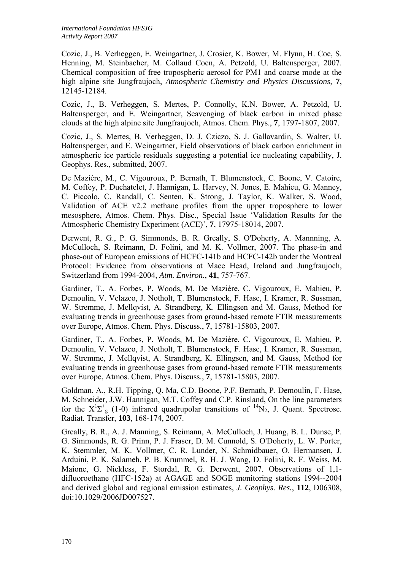Cozic, J., B. Verheggen, E. Weingartner, J. Crosier, K. Bower, M. Flynn, H. Coe, S. Henning, M. Steinbacher, M. Collaud Coen, A. Petzold, U. Baltensperger, 2007. Chemical composition of free tropospheric aerosol for PM1 and coarse mode at the high alpine site Jungfraujoch, *Atmospheric Chemistry and Physics Discussions*, **7**, 12145-12184.

Cozic, J., B. Verheggen, S. Mertes, P. Connolly, K.N. Bower, A. Petzold, U. Baltensperger, and E. Weingartner, Scavenging of black carbon in mixed phase clouds at the high alpine site Jungfraujoch, Atmos. Chem. Phys., **7**, 1797-1807, 2007.

Cozic, J., S. Mertes, B. Verheggen, D. J. Cziczo, S. J. Gallavardin, S. Walter, U. Baltensperger, and E. Weingartner, Field observations of black carbon enrichment in atmospheric ice particle residuals suggesting a potential ice nucleating capability, J. Geophys. Res., submitted, 2007.

De Mazière, M., C. Vigouroux, P. Bernath, T. Blumenstock, C. Boone, V. Catoire, M. Coffey, P. Duchatelet, J. Hannigan, L. Harvey, N. Jones, E. Mahieu, G. Manney, C. Piccolo, C. Randall, C. Senten, K. Strong, J. Taylor, K. Walker, S. Wood, Validation of ACE v2.2 methane profiles from the upper troposphere to lower mesosphere, Atmos. Chem. Phys. Disc., Special Issue 'Validation Results for the Atmospheric Chemistry Experiment (ACE)', **7**, 17975-18014, 2007.

Derwent, R. G., P. G. Simmonds, B. R. Greally, S. O'Doherty, A. Mannning, A. McCulloch, S. Reimann, D. Folini, and M. K. Vollmer, 2007. The phase-in and phase-out of European emissions of HCFC-141b and HCFC-142b under the Montreal Protocol: Evidence from observations at Mace Head, Ireland and Jungfraujoch, Switzerland from 1994-2004, *Atm. Environ.*, **41**, 757-767.

Gardiner, T., A. Forbes, P. Woods, M. De Mazière, C. Vigouroux, E. Mahieu, P. Demoulin, V. Velazco, J. Notholt, T. Blumenstock, F. Hase, I. Kramer, R. Sussman, W. Stremme, J. Mellqvist, A. Strandberg, K. Ellingsen and M. Gauss, Method for evaluating trends in greenhouse gases from ground-based remote FTIR measurements over Europe, Atmos. Chem. Phys. Discuss., **7**, 15781-15803, 2007.

Gardiner, T., A. Forbes, P. Woods, M. De Mazière, C. Vigouroux, E. Mahieu, P. Demoulin, V. Velazco, J. Notholt, T. Blumenstock, F. Hase, I. Kramer, R. Sussman, W. Stremme, J. Mellqvist, A. Strandberg, K. Ellingsen, and M. Gauss, Method for evaluating trends in greenhouse gases from ground-based remote FTIR measurements over Europe, Atmos. Chem. Phys. Discuss., **7**, 15781-15803, 2007.

Goldman, A., R.H. Tipping, Q. Ma, C.D. Boone, P.F. Bernath, P. Demoulin, F. Hase, M. Schneider, J.W. Hannigan, M.T. Coffey and C.P. Rinsland, On the line parameters for the  $X^1\Sigma^+_{g}$  (1-0) infrared quadrupolar transitions of <sup>14</sup>N<sub>2</sub>, J. Quant. Spectrosc. Radiat. Transfer, **103**, 168-174, 2007.

Greally, B. R., A. J. Manning, S. Reimann, A. McCulloch, J. Huang, B. L. Dunse, P. G. Simmonds, R. G. Prinn, P. J. Fraser, D. M. Cunnold, S. O'Doherty, L. W. Porter, K. Stemmler, M. K. Vollmer, C. R. Lunder, N. Schmidbauer, O. Hermansen, J. Arduini, P. K. Salameh, P. B. Krummel, R. H. J. Wang, D. Folini, R. F. Weiss, M. Maione, G. Nickless, F. Stordal, R. G. Derwent, 2007. Observations of 1,1 difluoroethane (HFC-152a) at AGAGE and SOGE monitoring stations 1994--2004 and derived global and regional emission estimates, *J. Geophys. Res.*, **112**, D06308, doi:10.1029/2006JD007527.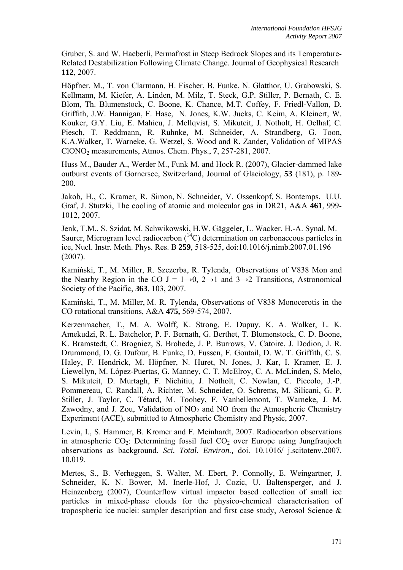Gruber, S. and W. Haeberli, Permafrost in Steep Bedrock Slopes and its Temperature-Related Destabilization Following Climate Change. Journal of Geophysical Research **112**, 2007.

Höpfner, M., T. von Clarmann, H. Fischer, B. Funke, N. Glatthor, U. Grabowski, S. Kellmann, M. Kiefer, A. Linden, M. Milz, T. Steck, G.P. Stiller, P. Bernath, C. E. Blom, Th. Blumenstock, C. Boone, K. Chance, M.T. Coffey, F. Friedl-Vallon, D. Griffith, J.W. Hannigan, F. Hase, N. Jones, K.W. Jucks, C. Keim, A. Kleinert, W. Kouker, G.Y. Liu, E. Mahieu, J. Mellqvist, S. Mikuteit, J. Notholt, H. Oelhaf, C. Piesch, T. Reddmann, R. Ruhnke, M. Schneider, A. Strandberg, G. Toon, K.A.Walker, T. Warneke, G. Wetzel, S. Wood and R. Zander, Validation of MIPAS ClONO2 measurements, Atmos. Chem. Phys., **7**, 257-281, 2007.

Huss M., Bauder A., Werder M., Funk M. and Hock R. (2007), Glacier-dammed lake outburst events of Gornersee, Switzerland, Journal of Glaciology, **53** (181), p. 189- 200.

Jakob, H., C. Kramer, R. Simon, N. Schneider, V. Ossenkopf, S. Bontemps, U.U. Graf, J. Stutzki, The cooling of atomic and molecular gas in DR21, A&A **461**, 999- 1012, 2007.

Jenk, T.M., S. Szidat, M. Schwikowski, H.W. Gäggeler, L. Wacker, H.-A. Synal, M. Saurer, Microgram level radiocarbon  $(14)$  determination on carbonaceous particles in ice, Nucl. Instr. Meth. Phys. Res. B **259**, 518-525, doi:10.1016/j.nimb.2007.01.196 (2007).

Kamiński, T., M. Miller, R. Szczerba, R. Tylenda, Observations of V838 Mon and the Nearby Region in the CO J =  $1\rightarrow 0$ ,  $2\rightarrow 1$  and  $3\rightarrow 2$  Transitions, Astronomical Society of the Pacific, **363**, 103, 2007.

Kamiński, T., M. Miller, M. R. Tylenda, Observations of V838 Monocerotis in the CO rotational transitions, A&A **475,** 569-574, 2007.

Kerzenmacher, T., M. A. Wolff, K. Strong, E. Dupuy, K. A. Walker, L. K. Amekudzi, R. L. Batchelor, P. F. Bernath, G. Berthet, T. Blumenstock, C. D. Boone, K. Bramstedt, C. Brogniez, S. Brohede, J. P. Burrows, V. Catoire, J. Dodion, J. R. Drummond, D. G. Dufour, B. Funke, D. Fussen, F. Goutail, D. W. T. Griffith, C. S. Haley, F. Hendrick, M. Höpfner, N. Huret, N. Jones, J. Kar, I. Kramer, E. J. Liewellyn, M. López-Puertas, G. Manney, C. T. McElroy, C. A. McLinden, S. Melo, S. Mikuteit, D. Murtagh, F. Nichitiu, J. Notholt, C. Nowlan, C. Piccolo, J.-P. Pommereau, C. Randall, A. Richter, M. Schneider, O. Schrems, M. Silicani, G. P. Stiller, J. Taylor, C. Tétard, M. Toohey, F. Vanhellemont, T. Warneke, J. M. Zawodny, and J. Zou, Validation of  $NO<sub>2</sub>$  and NO from the Atmospheric Chemistry Experiment (ACE), submitted to Atmospheric Chemistry and Physic, 2007.

Levin, I., S. Hammer, B. Kromer and F. Meinhardt, 2007. Radiocarbon observations in atmospheric  $CO_2$ : Determining fossil fuel  $CO_2$  over Europe using Jungfraujoch observations as background. *Sci. Total. Environ.,* doi. 10.1016/ j.scitotenv.2007. 10.019.

Mertes, S., B. Verheggen, S. Walter, M. Ebert, P. Connolly, E. Weingartner, J. Schneider, K. N. Bower, M. Inerle-Hof, J. Cozic, U. Baltensperger, and J. Heinzenberg (2007), Counterflow virtual impactor based collection of small ice particles in mixed-phase clouds for the physico-chemical characterisation of tropospheric ice nuclei: sampler description and first case study, Aerosol Science &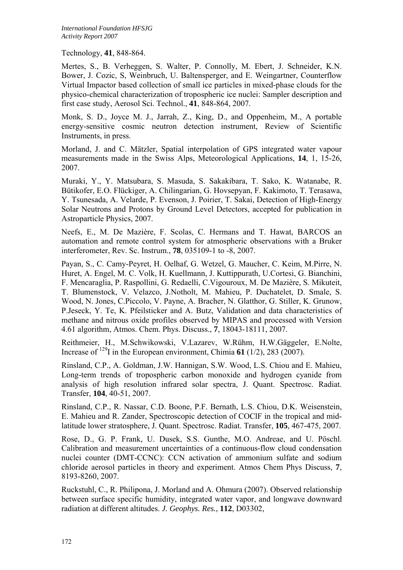Technology, **41**, 848-864.

Mertes, S., B. Verheggen, S. Walter, P. Connolly, M. Ebert, J. Schneider, K.N. Bower, J. Cozic, S, Weinbruch, U. Baltensperger, and E. Weingartner, Counterflow Virtual Impactor based collection of small ice particles in mixed-phase clouds for the physico-chemical characterization of tropospheric ice nuclei: Sampler description and first case study, Aerosol Sci. Technol., **41**, 848-864, 2007.

Monk, S. D., Joyce M. J., Jarrah, Z., King, D., and Oppenheim, M., A portable energy-sensitive cosmic neutron detection instrument, Review of Scientific Instruments, in press.

Morland, J. and C. Mätzler, Spatial interpolation of GPS integrated water vapour measurements made in the Swiss Alps, Meteorological Applications, **14**, 1, 15-26, 2007.

Muraki, Y., Y. Matsubara, S. Masuda, S. Sakakibara, T. Sako, K. Watanabe, R. Bütikofer, E.O. Flückiger, A. Chilingarian, G. Hovsepyan, F. Kakimoto, T. Terasawa, Y. Tsunesada, A. Velarde, P. Evenson, J. Poirier, T. Sakai, Detection of High-Energy Solar Neutrons and Protons by Ground Level Detectors, accepted for publication in Astroparticle Physics, 2007.

Neefs, E., M. De Mazière, F. Scolas, C. Hermans and T. Hawat, BARCOS an automation and remote control system for atmospheric observations with a Bruker interferometer, Rev. Sc. Instrum., **78**, 035109-1 to -8, 2007.

Payan, S., C. Camy-Peyret, H. Oelhaf, G. Wetzel, G. Maucher, C. Keim, M.Pirre, N. Huret, A. Engel, M. C. Volk, H. Kuellmann, J. Kuttippurath, U.Cortesi, G. Bianchini, F. Mencaraglia, P. Raspollini, G. Redaelli, C.Vigouroux, M. De Mazière, S. Mikuteit, T. Blumenstock, V. Velazco, J.Notholt, M. Mahieu, P. Duchatelet, D. Smale, S. Wood, N. Jones, C.Piccolo, V. Payne, A. Bracher, N. Glatthor, G. Stiller, K. Grunow, P.Jeseck, Y. Te, K. Pfeilsticker and A. Butz, Validation and data characteristics of methane and nitrous oxide profiles observed by MIPAS and processed with Version 4.61 algorithm, Atmos. Chem. Phys. Discuss., **7**, 18043-18111, 2007.

Reithmeier, H., M.Schwikowski, V.Lazarev, W.Rühm, H.W.Gäggeler, E.Nolte, Increase of 129I in the European environment, Chimia **61** (1/2), 283 (2007).

Rinsland, C.P., A. Goldman, J.W. Hannigan, S.W. Wood, L.S. Chiou and E. Mahieu, Long-term trends of tropospheric carbon monoxide and hydrogen cyanide from analysis of high resolution infrared solar spectra, J. Quant. Spectrosc. Radiat. Transfer, **104**, 40-51, 2007.

Rinsland, C.P., R. Nassar, C.D. Boone, P.F. Bernath, L.S. Chiou, D.K. Weisenstein, E. Mahieu and R. Zander, Spectroscopic detection of COClF in the tropical and midlatitude lower stratosphere, J. Quant. Spectrosc. Radiat. Transfer, **105**, 467-475, 2007.

Rose, D., G. P. Frank, U. Dusek, S.S. Gunthe, M.O. Andreae, and U. Pöschl. Calibration and measurement uncertainties of a continuous-flow cloud condensation nuclei counter (DMT-CCNC): CCN activation of ammonium sulfate and sodium chloride aerosol particles in theory and experiment. Atmos Chem Phys Discuss, **7**, 8193-8260, 2007.

Ruckstuhl, C., R. Philipona, J. Morland and A. Ohmura (2007). Observed relationship between surface specific humidity, integrated water vapor, and longwave downward radiation at different altitudes. *J. Geophys. Res.*, **112**, D03302,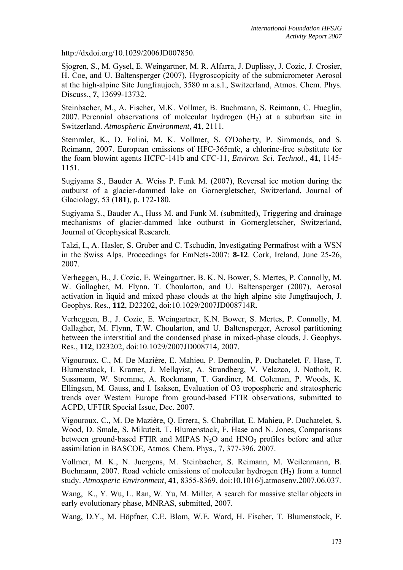http://dxdoi.org/10.1029/2006JD007850.

Sjogren, S., M. Gysel, E. Weingartner, M. R. Alfarra, J. Duplissy, J. Cozic, J. Crosier, H. Coe, and U. Baltensperger (2007), Hygroscopicity of the submicrometer Aerosol at the high-alpine Site Jungfraujoch, 3580 m a.s.l., Switzerland, Atmos. Chem. Phys. Discuss., **7**, 13699-13732.

Steinbacher, M., A. Fischer, M.K. Vollmer, B. Buchmann, S. Reimann, C. Hueglin, 2007. Perennial observations of molecular hydrogen  $(H<sub>2</sub>)$  at a suburban site in Switzerland. *Atmospheric Environment*, **41**, 2111.

Stemmler, K., D. Folini, M. K. Vollmer, S. O'Doherty, P. Simmonds, and S. Reimann, 2007. European emissions of HFC-365mfc, a chlorine-free substitute for the foam blowint agents HCFC-141b and CFC-11, *Environ. Sci. Technol.*, **41**, 1145- 1151.

Sugiyama S., Bauder A. Weiss P. Funk M. (2007), Reversal ice motion during the outburst of a glacier-dammed lake on Gornergletscher, Switzerland, Journal of Glaciology, 53 (**181**), p. 172-180.

Sugiyama S., Bauder A., Huss M. and Funk M. (submitted), Triggering and drainage mechanisms of glacier-dammed lake outburst in Gornergletscher, Switzerland, Journal of Geophysical Research.

Talzi, I., A. Hasler, S. Gruber and C. Tschudin, Investigating Permafrost with a WSN in the Swiss Alps. Proceedings for EmNets-2007: **8-12**. Cork, Ireland, June 25-26, 2007.

Verheggen, B., J. Cozic, E. Weingartner, B. K. N. Bower, S. Mertes, P. Connolly, M. W. Gallagher, M. Flynn, T. Choularton, and U. Baltensperger (2007), Aerosol activation in liquid and mixed phase clouds at the high alpine site Jungfraujoch, J. Geophys. Res., **112**, D23202, doi:10.1029/2007JD008714R.

Verheggen, B., J. Cozic, E. Weingartner, K.N. Bower, S. Mertes, P. Connolly, M. Gallagher, M. Flynn, T.W. Choularton, and U. Baltensperger, Aerosol partitioning between the interstitial and the condensed phase in mixed-phase clouds, J. Geophys. Res., **112**, D23202, doi:10.1029/2007JD008714, 2007.

Vigouroux, C., M. De Mazière, E. Mahieu, P. Demoulin, P. Duchatelet, F. Hase, T. Blumenstock, I. Kramer, J. Mellqvist, A. Strandberg, V. Velazco, J. Notholt, R. Sussmann, W. Stremme, A. Rockmann, T. Gardiner, M. Coleman, P. Woods, K. Ellingsen, M. Gauss, and I. Isaksen, Evaluation of O3 tropospheric and stratospheric trends over Western Europe from ground-based FTIR observations, submitted to ACPD, UFTIR Special Issue, Dec. 2007.

Vigouroux, C., M. De Mazière, Q. Errera, S. Chabrillat, E. Mahieu, P. Duchatelet, S. Wood, D. Smale, S. Mikuteit, T. Blumenstock, F. Hase and N. Jones, Comparisons between ground-based FTIR and MIPAS  $N_2O$  and HNO<sub>3</sub> profiles before and after assimilation in BASCOE, Atmos. Chem. Phys., 7, 377-396, 2007.

Vollmer, M. K., N. Juergens, M. Steinbacher, S. Reimann, M. Weilenmann, B. Buchmann, 2007. Road vehicle emissions of molecular hydrogen  $(H<sub>2</sub>)$  from a tunnel study. *Atmosperic Environment*, **41**, 8355-8369, doi:10.1016/j.atmosenv.2007.06.037.

Wang, K., Y. Wu, L. Ran, W. Yu, M. Miller, A search for massive stellar objects in early evolutionary phase, MNRAS, submitted, 2007.

Wang, D.Y., M. Höpfner, C.E. Blom, W.E. Ward, H. Fischer, T. Blumenstock, F.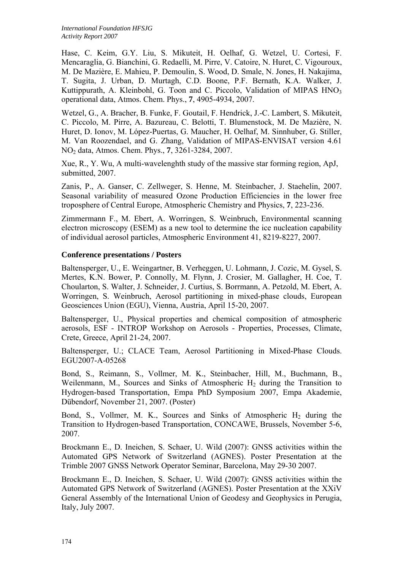Hase, C. Keim, G.Y. Liu, S. Mikuteit, H. Oelhaf, G. Wetzel, U. Cortesi, F. Mencaraglia, G. Bianchini, G. Redaelli, M. Pirre, V. Catoire, N. Huret, C. Vigouroux, M. De Mazière, E. Mahieu, P. Demoulin, S. Wood, D. Smale, N. Jones, H. Nakajima, T. Sugita, J. Urban, D. Murtagh, C.D. Boone, P.F. Bernath, K.A. Walker, J. Kuttippurath, A. Kleinbohl, G. Toon and C. Piccolo, Validation of MIPAS  $HNO<sub>3</sub>$ operational data, Atmos. Chem. Phys., **7**, 4905-4934, 2007.

Wetzel, G., A. Bracher, B. Funke, F. Goutail, F. Hendrick, J.-C. Lambert, S. Mikuteit, C. Piccolo, M. Pirre, A. Bazureau, C. Belotti, T. Blumenstock, M. De Mazière, N. Huret, D. Ionov, M. López-Puertas, G. Maucher, H. Oelhaf, M. Sinnhuber, G. Stiller, M. Van Roozendael, and G. Zhang, Validation of MIPAS-ENVISAT version 4.61 NO2 data, Atmos. Chem. Phys., **7**, 3261-3284, 2007.

Xue, R., Y. Wu, A multi-wavelenghth study of the massive star forming region, ApJ, submitted, 2007.

Zanis, P., A. Ganser, C. Zellweger, S. Henne, M. Steinbacher, J. Staehelin, 2007. Seasonal variability of measured Ozone Production Efficiencies in the lower free troposphere of Central Europe, Atmospheric Chemistry and Physics, **7**, 223-236.

Zimmermann F., M. Ebert, A. Worringen, S. Weinbruch, Environmental scanning electron microscopy (ESEM) as a new tool to determine the ice nucleation capability of individual aerosol particles, Atmospheric Environment 41, 8219-8227, 2007.

### **Conference presentations / Posters**

Baltensperger, U., E. Weingartner, B. Verheggen, U. Lohmann, J. Cozic, M. Gysel, S. Mertes, K.N. Bower, P. Connolly, M. Flynn, J. Crosier, M. Gallagher, H. Coe, T. Choularton, S. Walter, J. Schneider, J. Curtius, S. Borrmann, A. Petzold, M. Ebert, A. Worringen, S. Weinbruch, Aerosol partitioning in mixed-phase clouds, European Geosciences Union (EGU), Vienna, Austria, April 15-20, 2007.

Baltensperger, U., Physical properties and chemical composition of atmospheric aerosols, ESF - INTROP Workshop on Aerosols - Properties, Processes, Climate, Crete, Greece, April 21-24, 2007.

Baltensperger, U.; CLACE Team, Aerosol Partitioning in Mixed-Phase Clouds. EGU2007-A-05268

Bond, S., Reimann, S., Vollmer, M. K., Steinbacher, Hill, M., Buchmann, B., Weilenmann, M., Sources and Sinks of Atmospheric  $H_2$  during the Transition to Hydrogen-based Transportation, Empa PhD Symposium 2007, Empa Akademie, Dübendorf, November 21, 2007. (Poster)

Bond, S., Vollmer, M. K., Sources and Sinks of Atmospheric  $H_2$  during the Transition to Hydrogen-based Transportation, CONCAWE, Brussels, November 5-6, 2007.

Brockmann E., D. Ineichen, S. Schaer, U. Wild (2007): GNSS activities within the Automated GPS Network of Switzerland (AGNES). Poster Presentation at the Trimble 2007 GNSS Network Operator Seminar, Barcelona, May 29-30 2007.

Brockmann E., D. Ineichen, S. Schaer, U. Wild (2007): GNSS activities within the Automated GPS Network of Switzerland (AGNES). Poster Presentation at the XXiV General Assembly of the International Union of Geodesy and Geophysics in Perugia, Italy, July 2007.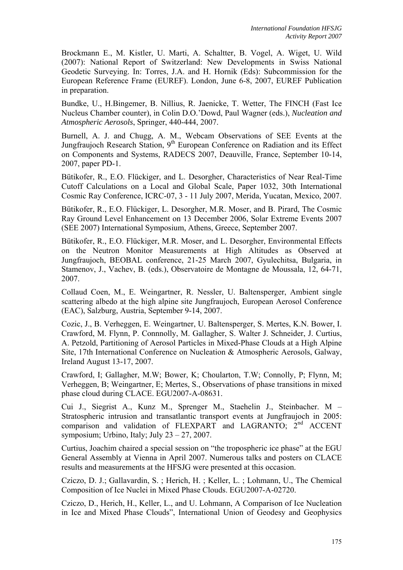Brockmann E., M. Kistler, U. Marti, A. Schaltter, B. Vogel, A. Wiget, U. Wild (2007): National Report of Switzerland: New Developments in Swiss National Geodetic Surveying. In: Torres, J.A. and H. Hornik (Eds): Subcommission for the European Reference Frame (EUREF). London, June 6-8, 2007, EUREF Publication in preparation.

Bundke, U., H.Bingemer, B. Nillius, R. Jaenicke, T. Wetter, The FINCH (Fast Ice Nucleus Chamber counter), in Colin D.O.'Dowd, Paul Wagner (eds.), *Nucleation and Atmospheric Aerosols*, Springer, 440-444, 2007.

Burnell, A. J. and Chugg, A. M., Webcam Observations of SEE Events at the Jungfraujoch Research Station,  $9<sup>th</sup>$  European Conference on Radiation and its Effect on Components and Systems, RADECS 2007, Deauville, France, September 10-14, 2007, paper PD-1.

Bütikofer, R., E.O. Flückiger, and L. Desorgher, Characteristics of Near Real-Time Cutoff Calculations on a Local and Global Scale, Paper 1032, 30th International Cosmic Ray Conference, ICRC-07, 3 - 11 July 2007, Merida, Yucatan, Mexico, 2007.

Bütikofer, R., E.O. Flückiger, L. Desorgher, M.R. Moser, and B. Pirard, The Cosmic Ray Ground Level Enhancement on 13 December 2006, Solar Extreme Events 2007 (SEE 2007) International Symposium, Athens, Greece, September 2007.

Bütikofer, R., E.O. Flückiger, M.R. Moser, and L. Desorgher, Environmental Effects on the Neutron Monitor Measurements at High Altitudes as Observed at Jungfraujoch, BEOBAL conference, 21-25 March 2007, Gyulechitsa, Bulgaria, in Stamenov, J., Vachev, B. (eds.), Observatoire de Montagne de Moussala, 12, 64-71, 2007.

Collaud Coen, M., E. Weingartner, R. Nessler, U. Baltensperger, Ambient single scattering albedo at the high alpine site Jungfraujoch, European Aerosol Conference (EAC), Salzburg, Austria, September 9-14, 2007.

Cozic, J., B. Verheggen, E. Weingartner, U. Baltensperger, S. Mertes, K.N. Bower, I. Crawford, M. Flynn, P. Connnolly, M. Gallagher, S. Walter J. Schneider, J. Curtius, A. Petzold, Partitioning of Aerosol Particles in Mixed-Phase Clouds at a High Alpine Site, 17th International Conference on Nucleation & Atmospheric Aerosols, Galway, Ireland August 13-17, 2007.

Crawford, I; Gallagher, M.W; Bower, K; Choularton, T.W; Connolly, P; Flynn, M; Verheggen, B; Weingartner, E; Mertes, S., Observations of phase transitions in mixed phase cloud during CLACE. EGU2007-A-08631.

Cui J., Siegrist A., Kunz M., Sprenger M., Staehelin J., Steinbacher. M – Stratospheric intrusion and transatlantic transport events at Jungfraujoch in 2005: comparison and validation of FLEXPART and LAGRANTO;  $2^{nd}$  ACCENT symposium; Urbino, Italy; July  $23 - 27$ , 2007.

Curtius, Joachim chaired a special session on "the tropospheric ice phase" at the EGU General Assembly at Vienna in April 2007. Numerous talks and posters on CLACE results and measurements at the HFSJG were presented at this occasion.

Cziczo, D. J.; Gallavardin, S. ; Herich, H. ; Keller, L. ; Lohmann, U., The Chemical Composition of Ice Nuclei in Mixed Phase Clouds. EGU2007-A-02720.

Cziczo, D., Herich, H., Keller, L., and U. Lohmann, A Comparison of Ice Nucleation in Ice and Mixed Phase Clouds", International Union of Geodesy and Geophysics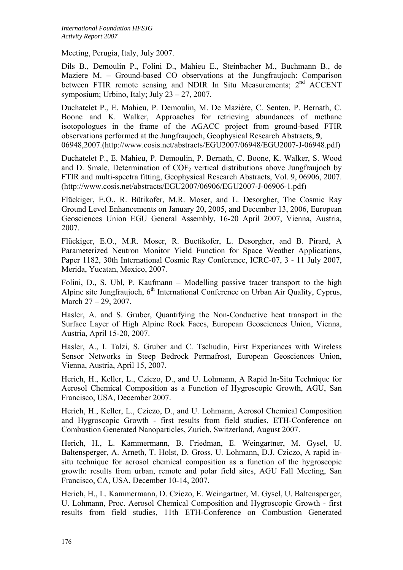Meeting, Perugia, Italy, July 2007.

Dils B., Demoulin P., Folini D., Mahieu E., Steinbacher M., Buchmann B., de Maziere M. – Ground-based CO observations at the Jungfraujoch: Comparison between FTIR remote sensing and NDIR In Situ Measurements;  $2<sup>nd</sup>$  ACCENT symposium; Urbino, Italy; July  $23 - 27$ , 2007.

Duchatelet P., E. Mahieu, P. Demoulin, M. De Mazière, C. Senten, P. Bernath, C. Boone and K. Walker, Approaches for retrieving abundances of methane isotopologues in the frame of the AGACC project from ground-based FTIR observations performed at the Jungfraujoch, Geophysical Research Abstracts, **9**, 06948,2007.(http://www.cosis.net/abstracts/EGU2007/06948/EGU2007-J-06948.pdf)

Duchatelet P., E. Mahieu, P. Demoulin, P. Bernath, C. Boone, K. Walker, S. Wood and D. Smale, Determination of  $COF<sub>2</sub>$  vertical distributions above Jungfraujoch by FTIR and multi-spectra fitting, Geophysical Research Abstracts, Vol. 9, 06906, 2007. (http://www.cosis.net/abstracts/EGU2007/06906/EGU2007-J-06906-1.pdf)

Flückiger, E.O., R. Bütikofer, M.R. Moser, and L. Desorgher, The Cosmic Ray Ground Level Enhancements on January 20, 2005, and December 13, 2006, European Geosciences Union EGU General Assembly, 16-20 April 2007, Vienna, Austria, 2007.

Flückiger, E.O., M.R. Moser, R. Buetikofer, L. Desorgher, and B. Pirard, A Parameterized Neutron Monitor Yield Function for Space Weather Applications, Paper 1182, 30th International Cosmic Ray Conference, ICRC-07, 3 - 11 July 2007, Merida, Yucatan, Mexico, 2007.

Folini, D., S. Ubl, P. Kaufmann – Modelling passive tracer transport to the high Alpine site Jungfraujoch, 6<sup>th</sup> International Conference on Urban Air Quality, Cyprus, March 27 – 29, 2007.

Hasler, A. and S. Gruber, Quantifying the Non-Conductive heat transport in the Surface Layer of High Alpine Rock Faces, European Geosciences Union, Vienna, Austria, April 15-20, 2007.

Hasler, A., I. Talzi, S. Gruber and C. Tschudin, First Experiances with Wireless Sensor Networks in Steep Bedrock Permafrost, European Geosciences Union, Vienna, Austria, April 15, 2007.

Herich, H., Keller, L., Cziczo, D., and U. Lohmann, A Rapid In-Situ Technique for Aerosol Chemical Composition as a Function of Hygroscopic Growth, AGU, San Francisco, USA, December 2007.

Herich, H., Keller, L., Cziczo, D., and U. Lohmann, Aerosol Chemical Composition and Hygroscopic Growth - first results from field studies, ETH-Conference on Combustion Generated Nanoparticles, Zurich, Switzerland, August 2007.

Herich, H., L. Kammermann, B. Friedman, E. Weingartner, M. Gysel, U. Baltensperger, A. Arneth, T. Holst, D. Gross, U. Lohmann, D.J. Cziczo, A rapid insitu technique for aerosol chemical composition as a function of the hygroscopic growth: results from urban, remote and polar field sites, AGU Fall Meeting, San Francisco, CA, USA, December 10-14, 2007.

Herich, H., L. Kammermann, D. Cziczo, E. Weingartner, M. Gysel, U. Baltensperger, U. Lohmann, Proc. Aerosol Chemical Composition and Hygroscopic Growth - first results from field studies, 11th ETH-Conference on Combustion Generated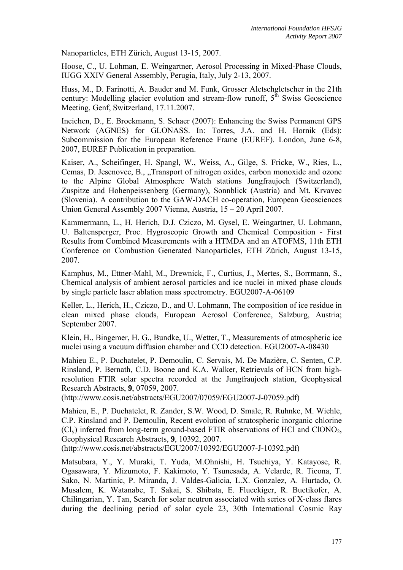Nanoparticles, ETH Zürich, August 13-15, 2007.

Hoose, C., U. Lohman, E. Weingartner, Aerosol Processing in Mixed-Phase Clouds, IUGG XXIV General Assembly, Perugia, Italy, July 2-13, 2007.

Huss, M., D. Farinotti, A. Bauder and M. Funk, Grosser Aletschgletscher in the 21th century: Modelling glacier evolution and stream-flow runoff,  $5<sup>th</sup>$  Swiss Geoscience Meeting, Genf, Switzerland, 17.11.2007.

Ineichen, D., E. Brockmann, S. Schaer (2007): Enhancing the Swiss Permanent GPS Network (AGNES) for GLONASS. In: Torres, J.A. and H. Hornik (Eds): Subcommission for the European Reference Frame (EUREF). London, June 6-8, 2007, EUREF Publication in preparation.

Kaiser, A., Scheifinger, H. Spangl, W., Weiss, A., Gilge, S. Fricke, W., Ries, L., Cemas, D. Jesenovec, B., "Transport of nitrogen oxides, carbon monoxide and ozone to the Alpine Global Atmosphere Watch stations Jungfraujoch (Switzerland), Zuspitze and Hohenpeissenberg (Germany), Sonnblick (Austria) and Mt. Krvavec (Slovenia). A contribution to the GAW-DACH co-operation, European Geosciences Union General Assembly 2007 Vienna, Austria, 15 – 20 April 2007.

Kammermann, L., H. Herich, D.J. Cziczo, M. Gysel, E. Weingartner, U. Lohmann, U. Baltensperger, Proc. Hygroscopic Growth and Chemical Composition - First Results from Combined Measurements with a HTMDA and an ATOFMS, 11th ETH Conference on Combustion Generated Nanoparticles, ETH Zürich, August 13-15, 2007.

Kamphus, M., Ettner-Mahl, M., Drewnick, F., Curtius, J., Mertes, S., Borrmann, S., Chemical analysis of ambient aerosol particles and ice nuclei in mixed phase clouds by single particle laser ablation mass spectrometry. EGU2007-A-06109

Keller, L., Herich, H., Cziczo, D., and U. Lohmann, The composition of ice residue in clean mixed phase clouds, European Aerosol Conference, Salzburg, Austria; September 2007.

Klein, H., Bingemer, H. G., Bundke, U., Wetter, T., Measurements of atmospheric ice nuclei using a vacuum diffusion chamber and CCD detection. EGU2007-A-08430

Mahieu E., P. Duchatelet, P. Demoulin, C. Servais, M. De Mazière, C. Senten, C.P. Rinsland, P. Bernath, C.D. Boone and K.A. Walker, Retrievals of HCN from highresolution FTIR solar spectra recorded at the Jungfraujoch station, Geophysical Research Abstracts, **9**, 07059, 2007.

(http://www.cosis.net/abstracts/EGU2007/07059/EGU2007-J-07059.pdf)

Mahieu, E., P. Duchatelet, R. Zander, S.W. Wood, D. Smale, R. Ruhnke, M. Wiehle, C.P. Rinsland and P. Demoulin, Recent evolution of stratospheric inorganic chlorine  $(Cl<sub>v</sub>)$  inferred from long-term ground-based FTIR observations of HCl and ClONO<sub>2</sub>, Geophysical Research Abstracts, **9**, 10392, 2007.

(http://www.cosis.net/abstracts/EGU2007/10392/EGU2007-J-10392.pdf)

Matsubara, Y., Y. Muraki, T. Yuda, M.Ohnishi, H. Tsuchiya, Y. Katayose, R. Ogasawara, Y. Mizumoto, F. Kakimoto, Y. Tsunesada, A. Velarde, R. Ticona, T. Sako, N. Martinic, P. Miranda, J. Valdes-Galicia, L.X. Gonzalez, A. Hurtado, O. Musalem, K. Watanabe, T. Sakai, S. Shibata, E. Flueckiger, R. Buetikofer, A. Chilingarian, Y. Tan, Search for solar neutron associated with series of X-class flares during the declining period of solar cycle 23, 30th International Cosmic Ray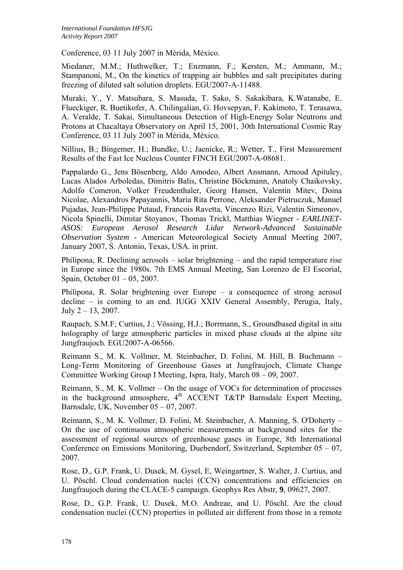Conference, 03 11 July 2007 in Mérida, México.

Miedaner, M.M.; Huthwelker, T.; Enzmann, F.; Kersten, M.; Ammann, M.; Stampanoni, M., On the kinetics of trapping air bubbles and salt precipitates during freezing of diluted salt solution droplets. EGU2007-A-11488.

Muraki, Y., Y. Matsubara, S. Masuda, T. Sako, S. Sakakibara, K.Watanabe, E. Flueckiger, R. Buetikofer, A. Chilingalian, G. Hovsepyan, F. Kakimoto, T. Terasawa, A. Veralde, T. Sakai, Simultaneous Detection of High-Energy Solar Neutrons and Protons at Chacaltaya Observatory on April 15, 2001, 30th International Cosmic Ray Conference, 03 11 July 2007 in Mérida, México.

Nillius, B.; Bingemer, H.; Bundke, U.; Jaenicke, R.; Wetter, T., First Measurement Results of the Fast Ice Nucleus Counter FINCH EGU2007-A-08681.

Pappalardo G., Jens Bösenberg, Aldo Amodeo, Albert Ansmann, Arnoud Apituley, Lucas Alados Arboledas, Dimitris Balis, Christine Böckmann, Anatoly Chaikovsky, Adolfo Comeron, Volker Freudenthaler, Georg Hansen, Valentin Mitev, Doina Nicolae, Alexandros Papayannis, Maria Rita Perrone, Aleksander Pietruczuk, Manuel Pujadas, Jean-Philippe Putaud, Francois Ravetta, Vincenzo Rizi, Valentin Simeonov, Nicola Spinelli, Dimitar Stoyanov, Thomas Trickl, Matthias Wiegner - *EARLINET-ASOS: European Aerosol Research Lidar Network-Advanced Sustainable Observation System* - American Meteorological Society Annual Meeting 2007, January 2007, S. Antonio, Texas, USA. in print.

Philipona, R. Declining aerosols – solar brightening – and the rapid temperature rise in Europe since the 1980s. 7th EMS Annual Meeting, San Lorenzo de El Escorial, Spain, October 01 – 05, 2007.

Philipona, R. Solar brightening over Europe – a consequence of strong aerosol decline – is coming to an end. IUGG XXIV General Assembly, Perugia, Italy, July  $2 - 13$ , 2007.

Raupach, S.M.F; Curtius, J.; Vössing, H.J.; Borrmann, S., Groundbased digital in situ holography of large atmospheric particles in mixed phase clouds at the alpine site Jungfraujoch. EGU2007-A-06566.

Reimann S., M. K. Vollmer, M. Steinbacher, D. Folini, M. Hill, B. Buchmann – Long-Term Monitoring of Greenhouse Gases at Jungfraujoch, Climate Change Committee Working Group I Meeting, Ispra, Italy, March 08 – 09, 2007.

Reimann, S., M. K. Vollmer – On the usage of VOCs for determination of processes in the background atmosphere,  $4<sup>th</sup>$  ACCENT T&TP Barnsdale Expert Meeting, Barnsdale, UK, November 05 – 07, 2007.

Reimann, S., M. K. Vollmer, D. Folini, M. Steinbacher, A. Manning, S. O'Doherty – On the use of continuous atmospheric measurements at background sites for the assessment of regional sources of greenhouse gases in Europe, 8th International Conference on Emissions Monitoring, Duebendorf, Switzerland, September 05 – 07, 2007.

Rose, D., G.P. Frank, U. Dusek, M. Gysel, E, Weingartner, S. Walter, J. Curtius, and U. Pöschl. Cloud condensation nuclei (CCN) concentrations and efficiencies on Jungfraujoch during the CLACE-5 campaign. Geophys Res Abstr, **9**, 09627, 2007.

Rose, D., G.P. Frank, U. Dusek, M.O. Andreae, and U. Pöschl. Are the cloud condensation nuclei (CCN) properties in polluted air different from those in a remote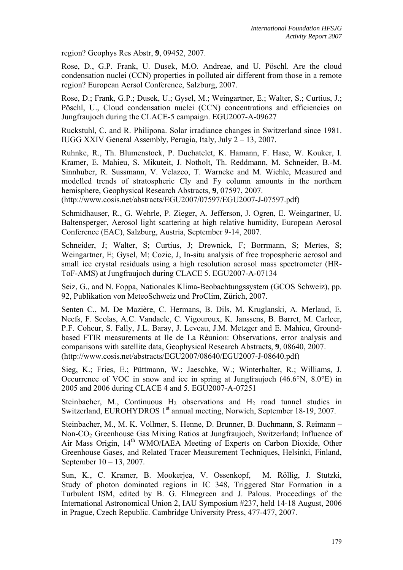region? Geophys Res Abstr, **9**, 09452, 2007.

Rose, D., G.P. Frank, U. Dusek, M.O. Andreae, and U. Pöschl. Are the cloud condensation nuclei (CCN) properties in polluted air different from those in a remote region? European Aersol Conference, Salzburg, 2007.

Rose, D.; Frank, G.P.; Dusek, U.; Gysel, M.; Weingartner, E.; Walter, S.; Curtius, J.; Pöschl, U., Cloud condensation nuclei (CCN) concentrations and efficiencies on Jungfraujoch during the CLACE-5 campaign. EGU2007-A-09627

Ruckstuhl, C. and R. Philipona. Solar irradiance changes in Switzerland since 1981. IUGG XXIV General Assembly, Perugia, Italy, July 2 – 13, 2007.

Ruhnke, R., Th. Blumenstock, P. Duchatelet, K. Hamann, F. Hase, W. Kouker, I. Kramer, E. Mahieu, S. Mikuteit, J. Notholt, Th. Reddmann, M. Schneider, B.-M. Sinnhuber, R. Sussmann, V. Velazco, T. Warneke and M. Wiehle, Measured and modelled trends of stratospheric Cly and Fy column amounts in the northern hemisphere, Geophysical Research Abstracts, **9**, 07597, 2007.

(http://www.cosis.net/abstracts/EGU2007/07597/EGU2007-J-07597.pdf)

Schmidhauser, R., G. Wehrle, P. Zieger, A. Jefferson, J. Ogren, E. Weingartner, U. Baltensperger, Aerosol light scattering at high relative humidity, European Aerosol Conference (EAC), Salzburg, Austria, September 9-14, 2007.

Schneider, J; Walter, S; Curtius, J; Drewnick, F; Borrmann, S; Mertes, S; Weingartner, E; Gysel, M; Cozic, J, In-situ analysis of free tropospheric aerosol and small ice crystal residuals using a high resolution aerosol mass spectrometer (HR-ToF-AMS) at Jungfraujoch during CLACE 5. EGU2007-A-07134

Seiz, G., and N. Foppa, Nationales Klima-Beobachtungssystem (GCOS Schweiz), pp. 92, Publikation von MeteoSchweiz und ProClim, Zürich, 2007.

Senten C., M. De Mazière, C. Hermans, B. Dils, M. Kruglanski, A. Merlaud, E. Neefs, F. Scolas, A.C. Vandaele, C. Vigouroux, K. Janssens, B. Barret, M. Carleer, P.F. Coheur, S. Fally, J.L. Baray, J. Leveau, J.M. Metzger and E. Mahieu, Groundbased FTIR measurements at Ile de La Réunion: Observations, error analysis and comparisons with satellite data, Geophysical Research Abstracts, **9**, 08640, 2007. (http://www.cosis.net/abstracts/EGU2007/08640/EGU2007-J-08640.pdf)

Sieg, K.; Fries, E.; Püttmann, W.; Jaeschke, W.; Winterhalter, R.; Williams, J. Occurrence of VOC in snow and ice in spring at Jungfraujoch (46.6°N, 8.0°E) in 2005 and 2006 during CLACE 4 and 5. EGU2007-A-07251

Steinbacher, M., Continuous  $H_2$  observations and  $H_2$  road tunnel studies in Switzerland, EUROHYDROS 1<sup>st</sup> annual meeting, Norwich, September 18-19, 2007.

Steinbacher, M., M. K. Vollmer, S. Henne, D. Brunner, B. Buchmann, S. Reimann – Non-CO<sub>2</sub> Greenhouse Gas Mixing Ratios at Jungfraujoch, Switzerland; Influence of Air Mass Origin, 14<sup>th</sup> WMO/IAEA Meeting of Experts on Carbon Dioxide, Other Greenhouse Gases, and Related Tracer Measurement Techniques, Helsinki, Finland, September 10 – 13, 2007.

Sun, K., C. Kramer, B. Mookerjea, V. Ossenkopf, M. Röllig, J. Stutzki, Study of photon dominated regions in IC 348, Triggered Star Formation in a Turbulent ISM, edited by B. G. Elmegreen and J. Palous. Proceedings of the International Astronomical Union 2, IAU Symposium #237, held 14-18 August, 2006 in Prague, Czech Republic. Cambridge University Press, 477-477, 2007.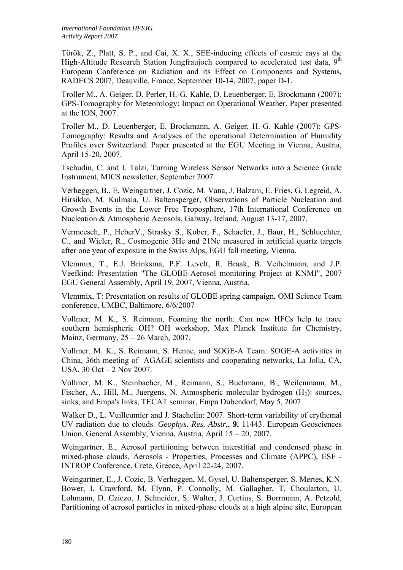*International Foundation HFSJG Activity Report 2007*

Török, Z., Platt, S. P., and Cai, X. X., SEE-inducing effects of cosmic rays at the High-Altitude Research Station Jungfraujoch compared to accelerated test data,  $9<sup>th</sup>$ European Conference on Radiation and its Effect on Components and Systems, RADECS 2007, Deauville, France, September 10-14, 2007, paper D-1.

Troller M., A. Geiger, D. Perler, H.-G. Kahle, D. Leuenberger, E. Brockmann (2007): GPS-Tomography for Meteorology: Impact on Operational Weather. Paper presented at the ION, 2007.

Troller M., D. Leuenberger, E. Brockmann, A. Geiger, H.-G. Kahle (2007): GPS-Tomography: Results and Analyses of the operational Determination of Humidity Profiles over Switzerland. Paper presented at the EGU Meeting in Vienna, Austria, April 15-20, 2007.

Tschudin, C. and I. Talzi, Turning Wireless Sensor Networks into a Science Grade Instrument, MICS newsletter, September 2007.

Verheggen, B., E. Weingartner, J. Cozic, M. Vana, J. Balzani, E. Fries, G. Legreid, A. Hirsikko, M. Kulmala, U. Baltensperger, Observations of Particle Nucleation and Growth Events in the Lower Free Troposphere, 17th International Conference on Nucleation & Atmospheric Aerosols, Galway, Ireland, August 13-17, 2007.

Vermeesch, P., HeberV., Strasky S., Kober, F., Schaefer, J., Baur, H., Schluechter, C., and Wieler, R., Cosmogenic 3He and 21Ne measured in artificial quartz targets after one year of exposure in the Swiss Alps, EGU fall meeting, Vienna.

Vlemmix, T., E.J. Brinksma, P.F. Levelt, R. Braak, B. Veihelmann, and J.P. Veefkind: Presentation "The GLOBE-Aerosol monitoring Project at KNMI", 2007 EGU General Assembly, April 19, 2007, Vienna, Austria.

Vlemmix, T: Presentation on results of GLOBE spring campaign, OMI Science Team conference, UMBC, Baltimore, 6/6/2007

Vollmer, M. K., S. Reimann, Foaming the north: Can new HFCs help to trace southern hemispheric OH? OH workshop, Max Planck Institute for Chemistry, Mainz, Germany, 25 – 26 March, 2007.

Vollmer, M. K., S. Reimann, S. Henne, and SOGE-A Team: SOGE-A activities in China, 36th meeting of AGAGE scientists and cooperating networks, La Jolla, CA, USA, 30 Oct – 2 Nov 2007.

Vollmer, M. K., Steinbacher, M., Reimann, S., Buchmann, B., Weilenmann, M., Fischer, A., Hill, M., Juergens, N. Atmospheric molecular hydrogen (H<sub>2</sub>): sources, sinks, and Empa's links, TECAT seminar, Empa Dubendorf, May 5, 2007.

Walker D., L. Vuilleumier and J. Staehelin: 2007. Short-term variability of erythemal UV radiation due to clouds. *Geophys. Res. Abstr.*, **9**, 11443. European Geosciences Union, General Assembly, Vienna, Austria, April 15 – 20, 2007.

Weingartner, E., Aerosol partitioning between interstitial and condensed phase in mixed-phase clouds, Aerosols - Properties, Processes and Climate (APPC), ESF - INTROP Conference, Crete, Greece, April 22-24, 2007.

Weingartner, E., J. Cozic, B. Verheggen, M. Gysel, U. Baltensperger, S. Mertes, K.N. Bower, I. Crawford, M. Flynn, P. Connolly, M. Gallagher, T. Choularton, U. Lohmann, D. Cziczo, J. Schneider, S. Walter, J. Curtius, S. Borrmann, A. Petzold, Partitioning of aerosol particles in mixed-phase clouds at a high alpine site, European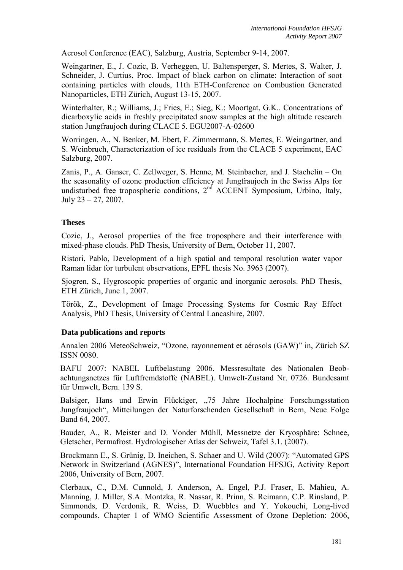Aerosol Conference (EAC), Salzburg, Austria, September 9-14, 2007.

Weingartner, E., J. Cozic, B. Verheggen, U. Baltensperger, S. Mertes, S. Walter, J. Schneider, J. Curtius, Proc. Impact of black carbon on climate: Interaction of soot containing particles with clouds, 11th ETH-Conference on Combustion Generated Nanoparticles, ETH Zürich, August 13-15, 2007.

Winterhalter, R.; Williams, J.; Fries, E.; Sieg, K.; Moortgat, G.K.. Concentrations of dicarboxylic acids in freshly precipitated snow samples at the high altitude research station Jungfraujoch during CLACE 5. EGU2007-A-02600

Worringen, A., N. Benker, M. Ebert, F. Zimmermann, S. Mertes, E. Weingartner, and S. Weinbruch, Characterization of ice residuals from the CLACE 5 experiment, EAC Salzburg, 2007.

Zanis, P., A. Ganser, C. Zellweger, S. Henne, M. Steinbacher, and J. Staehelin – On the seasonality of ozone production efficiency at Jungfraujoch in the Swiss Alps for undisturbed free tropospheric conditions,  $2<sup>nd</sup>$  ACCENT Symposium, Urbino, Italy, July 23 – 27, 2007.

### **Theses**

Cozic, J., Aerosol properties of the free troposphere and their interference with mixed-phase clouds. PhD Thesis, University of Bern, October 11, 2007.

Ristori, Pablo, Development of a high spatial and temporal resolution water vapor Raman lidar for turbulent observations, EPFL thesis No. 3963 (2007).

Sjogren, S., Hygroscopic properties of organic and inorganic aerosols. PhD Thesis, ETH Zürich, June 1, 2007.

Török, Z., Development of Image Processing Systems for Cosmic Ray Effect Analysis, PhD Thesis, University of Central Lancashire, 2007.

## **Data publications and reports**

Annalen 2006 MeteoSchweiz, "Ozone, rayonnement et aérosols (GAW)" in, Zürich SZ ISSN 0080.

BAFU 2007: NABEL Luftbelastung 2006. Messresultate des Nationalen Beobachtungsnetzes für Luftfremdstoffe (NABEL). Umwelt-Zustand Nr. 0726. Bundesamt für Umwelt, Bern. 139 S.

Balsiger, Hans und Erwin Flückiger, "75 Jahre Hochalpine Forschungsstation Jungfraujoch", Mitteilungen der Naturforschenden Gesellschaft in Bern, Neue Folge Band 64, 2007.

Bauder, A., R. Meister and D. Vonder Mühll, Messnetze der Kryosphäre: Schnee, Gletscher, Permafrost. Hydrologischer Atlas der Schweiz, Tafel 3.1. (2007).

Brockmann E., S. Grünig, D. Ineichen, S. Schaer and U. Wild (2007): "Automated GPS Network in Switzerland (AGNES)", International Foundation HFSJG, Activity Report 2006, University of Bern, 2007.

Clerbaux, C., D.M. Cunnold, J. Anderson, A. Engel, P.J. Fraser, E. Mahieu, A. Manning, J. Miller, S.A. Montzka, R. Nassar, R. Prinn, S. Reimann, C.P. Rinsland, P. Simmonds, D. Verdonik, R. Weiss, D. Wuebbles and Y. Yokouchi, Long-lived compounds, Chapter 1 of WMO Scientific Assessment of Ozone Depletion: 2006,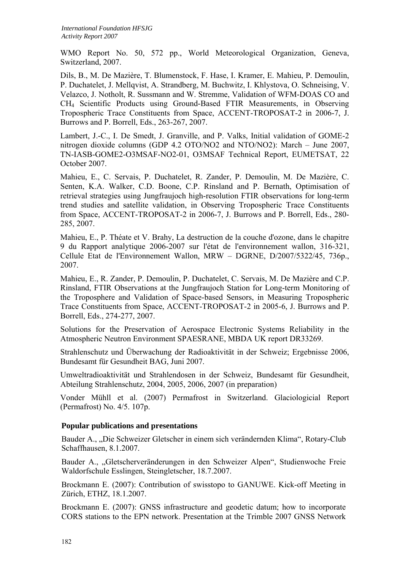WMO Report No. 50, 572 pp., World Meteorological Organization, Geneva, Switzerland, 2007.

Dils, B., M. De Mazière, T. Blumenstock, F. Hase, I. Kramer, E. Mahieu, P. Demoulin, P. Duchatelet, J. Mellqvist, A. Strandberg, M. Buchwitz, I. Khlystova, O. Schneising, V. Velazco, J. Notholt, R. Sussmann and W. Stremme, Validation of WFM-DOAS CO and CH4 Scientific Products using Ground-Based FTIR Measurements, in Observing Tropospheric Trace Constituents from Space, ACCENT-TROPOSAT-2 in 2006-7, J. Burrows and P. Borrell, Eds., 263-267, 2007.

Lambert, J.-C., I. De Smedt, J. Granville, and P. Valks, Initial validation of GOME-2 nitrogen dioxide columns (GDP 4.2 OTO/NO2 and NTO/NO2): March – June 2007, TN-IASB-GOME2-O3MSAF-NO2-01, O3MSAF Technical Report, EUMETSAT, 22 October 2007.

Mahieu, E., C. Servais, P. Duchatelet, R. Zander, P. Demoulin, M. De Mazière, C. Senten, K.A. Walker, C.D. Boone, C.P. Rinsland and P. Bernath, Optimisation of retrieval strategies using Jungfraujoch high-resolution FTIR observations for long-term trend studies and satellite validation, in Observing Tropospheric Trace Constituents from Space, ACCENT-TROPOSAT-2 in 2006-7, J. Burrows and P. Borrell, Eds., 280- 285, 2007.

Mahieu, E., P. Théate et V. Brahy, La destruction de la couche d'ozone, dans le chapitre 9 du Rapport analytique 2006-2007 sur l'état de l'environnement wallon, 316-321, Cellule Etat de l'Environnement Wallon, MRW – DGRNE, D/2007/5322/45, 736p., 2007.

Mahieu, E., R. Zander, P. Demoulin, P. Duchatelet, C. Servais, M. De Mazière and C.P. Rinsland, FTIR Observations at the Jungfraujoch Station for Long-term Monitoring of the Troposphere and Validation of Space-based Sensors, in Measuring Tropospheric Trace Constituents from Space, ACCENT-TROPOSAT-2 in 2005-6, J. Burrows and P. Borrell, Eds., 274-277, 2007.

Solutions for the Preservation of Aerospace Electronic Systems Reliability in the Atmospheric Neutron Environment SPAESRANE, MBDA UK report DR33269.

Strahlenschutz und Überwachung der Radioaktivität in der Schweiz; Ergebnisse 2006, Bundesamt für Gesundheit BAG, Juni 2007.

Umweltradioaktivität und Strahlendosen in der Schweiz, Bundesamt für Gesundheit, Abteilung Strahlenschutz, 2004, 2005, 2006, 2007 (in preparation)

Vonder Mühll et al. (2007) Permafrost in Switzerland. Glaciologicial Report (Permafrost) No. 4/5. 107p.

## **Popular publications and presentations**

Bauder A., "Die Schweizer Gletscher in einem sich verändernden Klima", Rotary-Club Schaffhausen, 8.1.2007.

Bauder A., "Gletscherveränderungen in den Schweizer Alpen", Studienwoche Freie Waldorfschule Esslingen, Steingletscher, 18.7.2007.

Brockmann E. (2007): Contribution of swisstopo to GANUWE. Kick-off Meeting in Zürich, ETHZ, 18.1.2007.

Brockmann E. (2007): GNSS infrastructure and geodetic datum; how to incorporate CORS stations to the EPN network. Presentation at the Trimble 2007 GNSS Network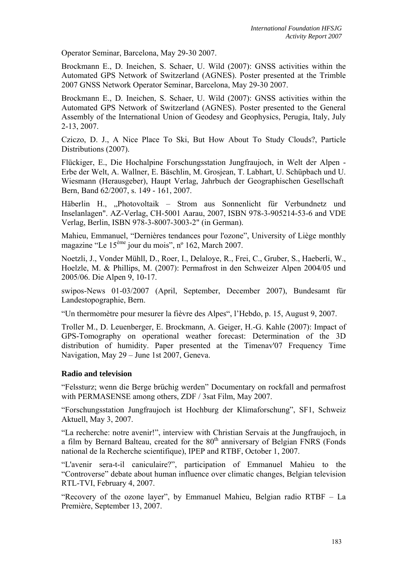Operator Seminar, Barcelona, May 29-30 2007.

Brockmann E., D. Ineichen, S. Schaer, U. Wild (2007): GNSS activities within the Automated GPS Network of Switzerland (AGNES). Poster presented at the Trimble 2007 GNSS Network Operator Seminar, Barcelona, May 29-30 2007.

Brockmann E., D. Ineichen, S. Schaer, U. Wild (2007): GNSS activities within the Automated GPS Network of Switzerland (AGNES). Poster presented to the General Assembly of the International Union of Geodesy and Geophysics, Perugia, Italy, July 2-13, 2007.

Cziczo, D. J., A Nice Place To Ski, But How About To Study Clouds?, Particle Distributions (2007).

Flückiger, E., Die Hochalpine Forschungsstation Jungfraujoch, in Welt der Alpen - Erbe der Welt, A. Wallner, E. Bäschlin, M. Grosjean, T. Labhart, U. Schüpbach und U. Wiesmann (Herausgeber), Haupt Verlag, Jahrbuch der Geographischen Gesellschaft Bern, Band 62/2007, s. 149 - 161, 2007.

Häberlin H., "Photovoltaik – Strom aus Sonnenlicht für Verbundnetz und Inselanlagen". AZ-Verlag, CH-5001 Aarau, 2007, ISBN 978-3-905214-53-6 and VDE Verlag, Berlin, ISBN 978-3-8007-3003-2" (in German).

Mahieu, Emmanuel, "Dernières tendances pour l'ozone", University of Liège monthly magazine "Le 15ème jour du mois", nº 162, March 2007.

Noetzli, J., Vonder Mühll, D., Roer, I., Delaloye, R., Frei, C., Gruber, S., Haeberli, W., Hoelzle, M. & Phillips, M. (2007): Permafrost in den Schweizer Alpen 2004/05 und 2005/06. Die Alpen 9, 10-17.

swipos-News 01-03/2007 (April, September, December 2007), Bundesamt für Landestopographie, Bern.

"Un thermomètre pour mesurer la fièvre des Alpes", l'Hebdo, p. 15, August 9, 2007.

Troller M., D. Leuenberger, E. Brockmann, A. Geiger, H.-G. Kahle (2007): Impact of GPS-Tomography on operational weather forecast: Determination of the 3D distribution of humidity. Paper presented at the Timenav'07 Frequency Time Navigation, May 29 – June 1st 2007, Geneva.

#### **Radio and television**

"Felssturz; wenn die Berge brüchig werden" Documentary on rockfall and permafrost with PERMASENSE among others, ZDF / 3sat Film, May 2007.

"Forschungsstation Jungfraujoch ist Hochburg der Klimaforschung", SF1, Schweiz Aktuell, May 3, 2007.

"La recherche: notre avenir!", interview with Christian Servais at the Jungfraujoch, in a film by Bernard Balteau, created for the  $80<sup>th</sup>$  anniversary of Belgian FNRS (Fonds national de la Recherche scientifique), IPEP and RTBF, October 1, 2007.

"L'avenir sera-t-il caniculaire?", participation of Emmanuel Mahieu to the "Controverse" debate about human influence over climatic changes, Belgian television RTL-TVI, February 4, 2007.

"Recovery of the ozone layer", by Emmanuel Mahieu, Belgian radio RTBF – La Première, September 13, 2007.